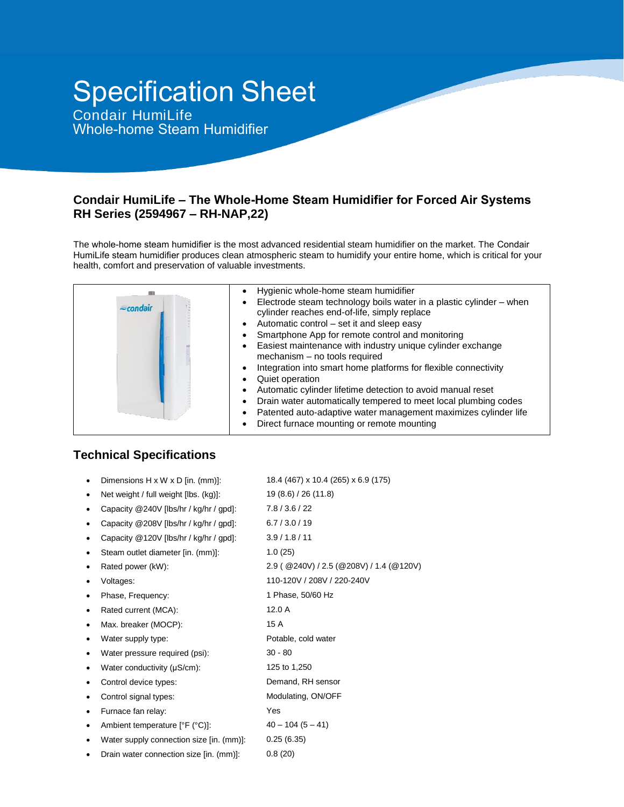# Specification Sheet

Condair HumiLife Whole-home Steam Humidifier

## **Condair HumiLife – The Whole-Home Steam Humidifier for Forced Air Systems RH Series (2594967 – RH-NAP,22)**

The whole-home steam humidifier is the most advanced residential steam humidifier on the market. The Condair HumiLife steam humidifier produces clean atmospheric steam to humidify your entire home, which is critical for your health, comfort and preservation of valuable investments.

| $\approx$ condair | Hygienic whole-home steam humidifier<br>Electrode steam technology boils water in a plastic cylinder - when<br>cylinder reaches end-of-life, simply replace<br>• Automatic control – set it and sleep easy<br>Smartphone App for remote control and monitoring<br>Easiest maintenance with industry unique cylinder exchange<br>mechanism - no tools required |
|-------------------|---------------------------------------------------------------------------------------------------------------------------------------------------------------------------------------------------------------------------------------------------------------------------------------------------------------------------------------------------------------|
|                   | Integration into smart home platforms for flexible connectivity<br>Quiet operation<br>Automatic cylinder lifetime detection to avoid manual reset<br>Drain water automatically tempered to meet local plumbing codes<br>Patented auto-adaptive water management maximizes cylinder life<br>Direct furnace mounting or remote mounting                         |

# **Technical Specifications**

- Dimensions H x W x D [in. (mm)]: 18.4 (467) x 10.4 (265) x 6.9 (175)
- Net weight / full weight [lbs. (kg)]: 19 (8.6) / 26 (11.8)
- Capacity @240V [lbs/hr / kg/hr / gpd]: 7.8 / 3.6 / 22
- Capacity @208V [lbs/hr / kg/hr / gpd]: 6.7 / 3.0 / 19
- Capacity @120V [lbs/hr / kg/hr / gpd]: 3.9 / 1.8 / 11
	- Steam outlet diameter [in. (mm)]: 1.0 (25)
- 
- 
- 
- Rated current (MCA): 12.0 A
- Max. breaker (MOCP): 15 A
- 
- Water pressure required (psi): 30 80
- Water conductivity (μS/cm): 125 to 1,250
- Control device types: Demand, RH sensor
- 
- Furnace fan relay: Yes
- Ambient temperature  $[{}^{\circ}F ({}^{\circ}C)]$ : 40 104 (5 41)
- Water supply connection size [in. (mm)]: 0.25 (6.35)
- Drain water connection size [in. (mm)]: 0.8 (20)

 Rated power (kW): 2.9 ( @240V) / 2.5 (@208V) / 1.4 (@120V) Voltages: 110-120V / 208V / 220-240V Phase, Frequency: 1 Phase, 50/60 Hz Water supply type: <br>
Potable, cold water Control signal types: Modulating, ON/OFF